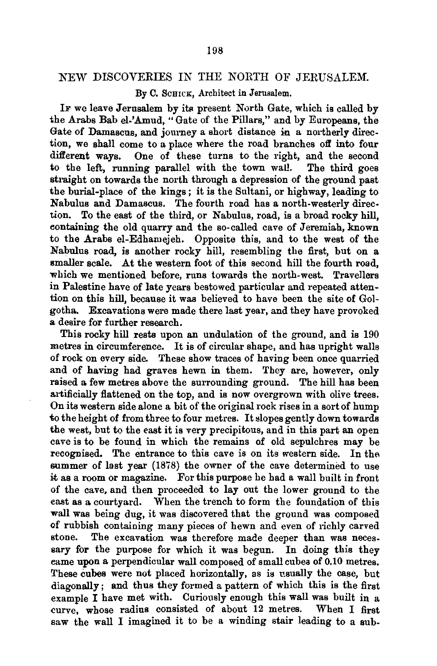## NEW DISCOVERIES IN THE NORTH OF JERUSALEM.

By C. ScHICK, Architect in Jerusalem.

IF we leave Jerusalem by its present North Gate, which is called by the Arabs Bab el-'Amud, "Gate of the Pillars," and by Europeans, the Gate of Damascus, and journey a short distance in a northerly direction, we shall come to a place where the road branches off into four different ways. One of these turns to the right, and the second to the left, running parallel with the town wal!. The third goes straight on towards the north through a depression of the ground past the burial-place of the kings; it is the Sultani, or highway, leading to Nabulus and Damascus. The fourth road has a north-westerly direction. To the east of the third, or Nabulus, road, is a broad rocky hill, eontaining the old quarry and the so-called cave of Jeremiah, known to the Arabs el-Edhamejeh. Opposite this, and to the west of the Nabulus road, is another rocky hill, resembling the first, but on a smaller scale. At the western foot of this second hill the fourth road, which we mentioned before, runs towards the north-west. Travellers in Palestine have of late years bestowed particular and repeated attention on this hill, because it was believed to have been the site of Golgotha.. Excavations were made there last year, and they have provoked a desire for further research.

This rocky hill rests upon an undulation of the ground, and is 190 metres in circumference. It is of circular shape, and has upright walls of rock on every side. These show traces of having been once quarried and of having had graves hewn in them. They are, however, only raised a few metres above the surrounding ground. The hill has been artificially flattened on the top, and is now overgrown with olive trees. On its western side alone a bit of the original rock rises in a sort of hump to the height of from three to four metres. It slopes gently down towards the west, but to the east it is very precipitous, and in this part an open cave is to be found in which the remains of old sepulchres may be recognised. The entrance to this cave is on its western side. In the summer of last year (1878) the owner of the cave determined to use it as a room or magazine. For this purpose he had a wall built in front of the cave, and then proceeded to lay out the lower ground to the east as a courtyard. When the trench to form the foundation of this wall was being dug, it was discovered that the ground was composed of rubbish containing many pieces of hewn and even of richly carved stone. The excavation was therefore made deeper than was necessary for the purpose for which it was begun. In doing this they eame upon a perpendicular wall composed of small cubea of 0.10 metres. These cubes were not placed horizontally, as is usually the case, but diagonally; and thus they formed a pattern of which this is the first example I have met with. Curiously enough this wall was built in a curve, whose radius consisted of about 12 metres. When I first saw the wall I imagined it to be a winding stair leading to a sub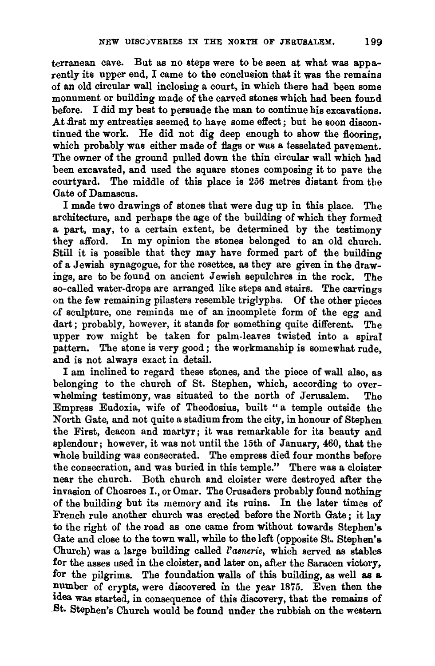terranean cave. But as no steps were to be seen at what was apparently its upper end, I came to the conclusion that it was the remains of an old circular wall inclosiug a court, in which there had been some monument or building made of the carved stones which had been found before. I did my best to persuade the man to continue his excavations. At first my entreaties seemed to have some effect; but he soon discontinued the work. He did not dig deep enough to show the flooring, which probably was either made of flags or was a tesselated pavement. The owner of the ground pulled down the thin circular wall which had been excavated, and used the square stones composing it to pave the The middle of this place is 256 metres distant from the Gate of Damascus.

I made two drawings of stones that were dug up in this place. The architecture, and perhaps the age of the building of which they formed a part, may, to a certain extent, be determined by the testimony they afford. In my opinion the stones belonged to an old church. Still it is possible that they may have formed part of the building of a Jewish synagogue, for the rosettes, as they are given in the drawings, are to be found on ancient Jewish sepulchres in the rock. The so-called water-drops are arranged like steps and stairs. The carvings on the few remaining pilasters resemble triglyphs. Of the other pieces of sculpture, one reminds me of an incomplete form of the egg and dart; probably, however, it stands for something quite different. The upper row might be taken for palm-leaves twisted into a spiral pattern. The stone is very good; the workmanship is somewhat rude, and is not always exact in detail.

I am inclined to regard these stones, and the piece of wall also, as belonging to the church of St. Stephen, which, according to overwhelming testimony, was situated to the north of Jerusalem. The Empress Eudoxia, wife of Theodosius, built " a temple outside the North Gate, and not quite a stadium from the city, in honour of Stephen the First, deacon and martyr; it was remarkable for its beauty and splendour; however, it was not until the 15th of January, 460, that the whole building was consecrated. The empress died four months before the consecration, and was buried in this temple." There was a cloister near the church. Both church and cloister were destroyed after the invasion of Chosroes I., or Omar. The Crusaders probably found nothing of the building but its memory and its ruins. In the later times of French rule another church was erected before the North Gate; it lay to the right of the road as one came from without towards Stephen's Gate and close to the town wall, while to the left (opposite St. Stephen's Church) was a large building called *l'asnerie,* which served as stables for the asses used in the cloister, and later on, after the Saracen victory, for the pilgrims. The foundation walls of this building, as well as & number of crypts, were discovered in the year 1875. Even then the 1dea was started, in consequence of this discovery, that the remains of St. Stephen's Church would be found under the rubbish on the western